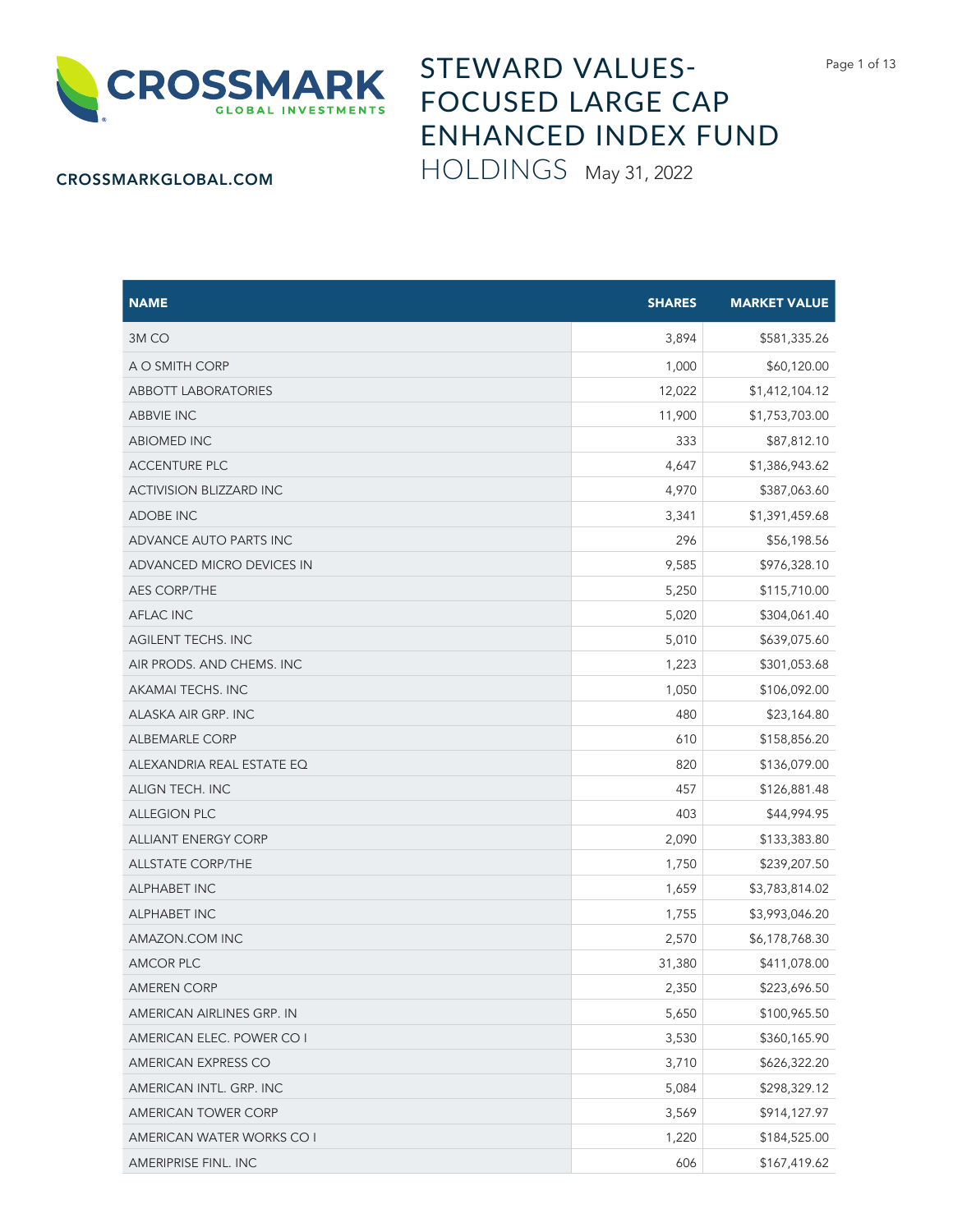

## STEWARD VALUES-FOCUSED LARGE CAP ENHANCED INDEX FUND HOLDINGS May 31, 2022

## CROSSMARKGLOBAL.COM

| <b>NAME</b>                    | <b>SHARES</b> | <b>MARKET VALUE</b> |
|--------------------------------|---------------|---------------------|
| 3M <sub>CO</sub>               | 3,894         | \$581,335.26        |
| A O SMITH CORP                 | 1,000         | \$60,120.00         |
| <b>ABBOTT LABORATORIES</b>     | 12,022        | \$1,412,104.12      |
| <b>ABBVIE INC</b>              | 11,900        | \$1,753,703.00      |
| <b>ABIOMED INC</b>             | 333           | \$87,812.10         |
| <b>ACCENTURE PLC</b>           | 4,647         | \$1,386,943.62      |
| <b>ACTIVISION BLIZZARD INC</b> | 4,970         | \$387,063.60        |
| <b>ADOBE INC</b>               | 3,341         | \$1,391,459.68      |
| ADVANCE AUTO PARTS INC         | 296           | \$56,198.56         |
| ADVANCED MICRO DEVICES IN      | 9,585         | \$976,328.10        |
| <b>AES CORP/THE</b>            | 5,250         | \$115,710.00        |
| <b>AFLAC INC</b>               | 5,020         | \$304,061.40        |
| <b>AGILENT TECHS. INC</b>      | 5,010         | \$639,075.60        |
| AIR PRODS. AND CHEMS. INC      | 1,223         | \$301,053.68        |
| AKAMAI TECHS. INC              | 1,050         | \$106,092.00        |
| ALASKA AIR GRP. INC            | 480           | \$23,164.80         |
| <b>ALBEMARLE CORP</b>          | 610           | \$158,856.20        |
| ALEXANDRIA REAL ESTATE EQ      | 820           | \$136,079.00        |
| ALIGN TECH. INC                | 457           | \$126,881.48        |
| <b>ALLEGION PLC</b>            | 403           | \$44,994.95         |
| <b>ALLIANT ENERGY CORP</b>     | 2,090         | \$133,383.80        |
| <b>ALLSTATE CORP/THE</b>       | 1,750         | \$239,207.50        |
| <b>ALPHABET INC</b>            | 1,659         | \$3,783,814.02      |
| <b>ALPHABET INC</b>            | 1,755         | \$3,993,046.20      |
| AMAZON.COM INC                 | 2,570         | \$6,178,768.30      |
| <b>AMCOR PLC</b>               | 31,380        | \$411,078.00        |
| <b>AMEREN CORP</b>             | 2,350         | \$223,696.50        |
| AMERICAN AIRLINES GRP. IN      | 5,650         | \$100,965.50        |
| AMERICAN ELEC. POWER CO I      | 3,530         | \$360,165.90        |
| AMERICAN EXPRESS CO            | 3,710         | \$626,322.20        |
| AMERICAN INTL. GRP. INC        | 5,084         | \$298,329.12        |
| AMERICAN TOWER CORP            | 3,569         | \$914,127.97        |
| AMERICAN WATER WORKS CO I      | 1,220         | \$184,525.00        |
| AMERIPRISE FINL. INC           | 606           | \$167,419.62        |

Page 1 of 13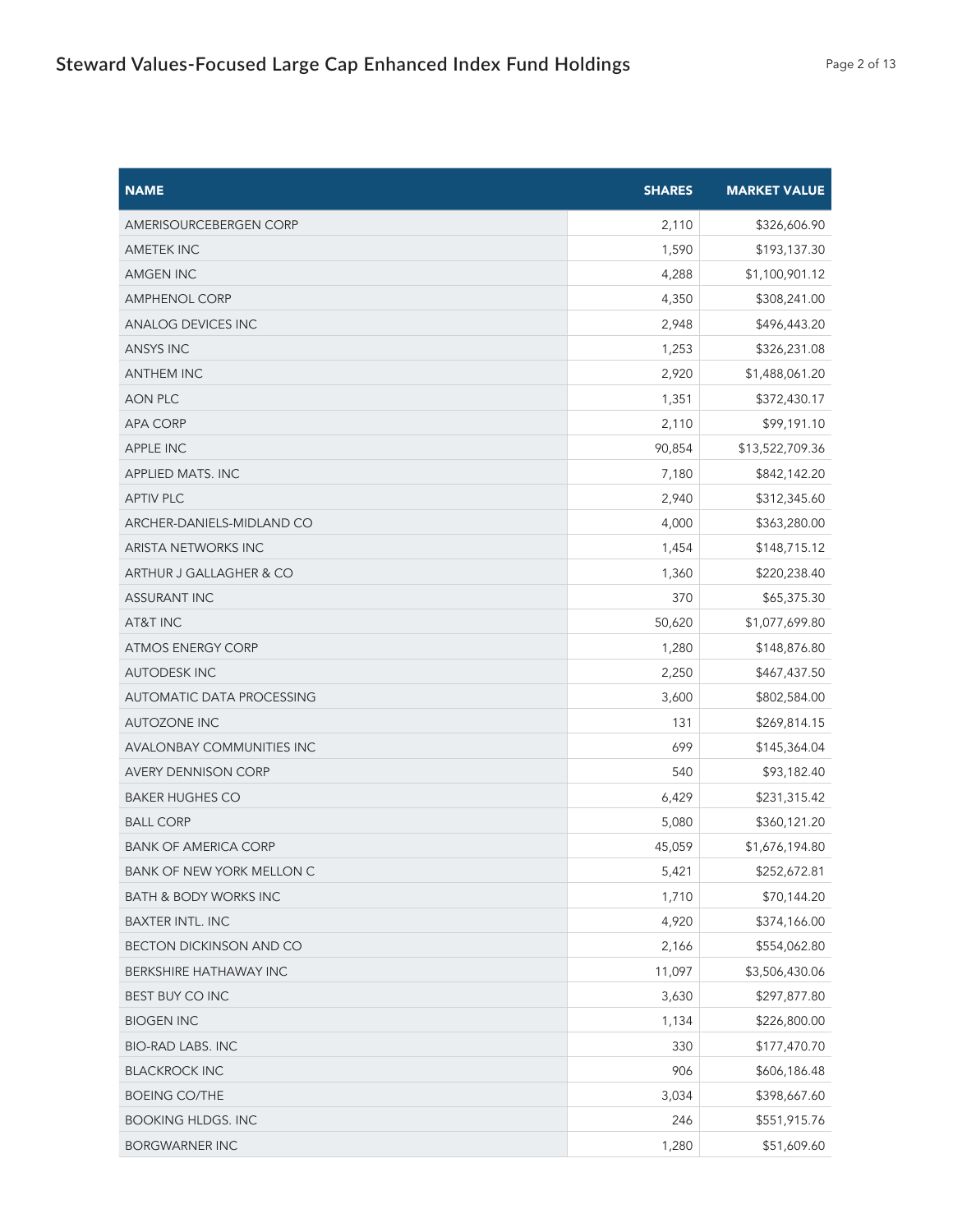| <b>NAME</b>                      | <b>SHARES</b> | <b>MARKET VALUE</b> |
|----------------------------------|---------------|---------------------|
| AMERISOURCEBERGEN CORP           | 2,110         | \$326,606.90        |
| <b>AMETEK INC</b>                | 1,590         | \$193,137.30        |
| AMGEN INC                        | 4,288         | \$1,100,901.12      |
| <b>AMPHENOL CORP</b>             | 4,350         | \$308,241.00        |
| <b>ANALOG DEVICES INC</b>        | 2,948         | \$496,443.20        |
| <b>ANSYS INC</b>                 | 1,253         | \$326,231.08        |
| <b>ANTHEM INC</b>                | 2,920         | \$1,488,061.20      |
| <b>AON PLC</b>                   | 1,351         | \$372,430.17        |
| <b>APA CORP</b>                  | 2,110         | \$99,191.10         |
| <b>APPLE INC</b>                 | 90,854        | \$13,522,709.36     |
| <b>APPLIED MATS. INC</b>         | 7,180         | \$842,142.20        |
| <b>APTIV PLC</b>                 | 2,940         | \$312,345.60        |
| ARCHER-DANIELS-MIDLAND CO        | 4,000         | \$363,280.00        |
| ARISTA NETWORKS INC              | 1,454         | \$148,715.12        |
| ARTHUR J GALLAGHER & CO          | 1,360         | \$220,238.40        |
| <b>ASSURANT INC</b>              | 370           | \$65,375.30         |
| AT&T INC                         | 50,620        | \$1,077,699.80      |
| <b>ATMOS ENERGY CORP</b>         | 1,280         | \$148,876.80        |
| <b>AUTODESK INC</b>              | 2,250         | \$467,437.50        |
| <b>AUTOMATIC DATA PROCESSING</b> | 3,600         | \$802,584.00        |
| <b>AUTOZONE INC</b>              | 131           | \$269,814.15        |
| <b>AVALONBAY COMMUNITIES INC</b> | 699           | \$145,364.04        |
| <b>AVERY DENNISON CORP</b>       | 540           | \$93,182.40         |
| <b>BAKER HUGHES CO</b>           | 6,429         | \$231,315.42        |
| <b>BALL CORP</b>                 | 5,080         | \$360,121.20        |
| <b>BANK OF AMERICA CORP</b>      | 45,059        | \$1,676,194.80      |
| <b>BANK OF NEW YORK MELLON C</b> | 5,421         | \$252,672.81        |
| <b>BATH &amp; BODY WORKS INC</b> | 1,710         | \$70,144.20         |
| <b>BAXTER INTL. INC</b>          | 4,920         | \$374,166.00        |
| BECTON DICKINSON AND CO          | 2,166         | \$554,062.80        |
| BERKSHIRE HATHAWAY INC           | 11,097        | \$3,506,430.06      |
| BEST BUY CO INC                  | 3,630         | \$297,877.80        |
| <b>BIOGEN INC</b>                | 1,134         | \$226,800.00        |
| <b>BIO-RAD LABS. INC</b>         | 330           | \$177,470.70        |
| <b>BLACKROCK INC</b>             | 906           | \$606,186.48        |
| <b>BOEING CO/THE</b>             | 3,034         | \$398,667.60        |
| <b>BOOKING HLDGS. INC</b>        | 246           | \$551,915.76        |
| <b>BORGWARNER INC</b>            | 1,280         | \$51,609.60         |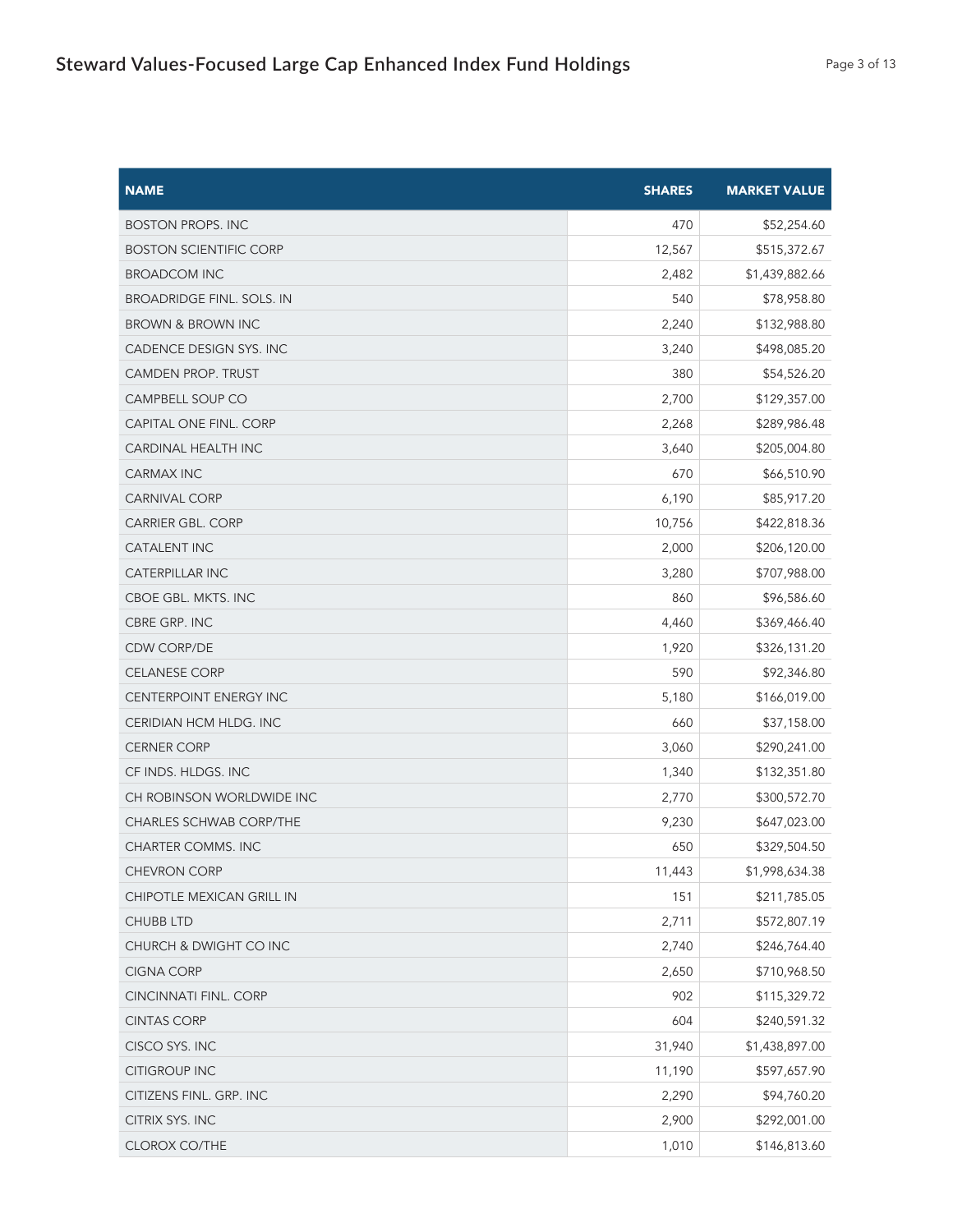| <b>NAME</b>                      | <b>SHARES</b> | <b>MARKET VALUE</b> |
|----------------------------------|---------------|---------------------|
| <b>BOSTON PROPS. INC</b>         | 470           | \$52,254.60         |
| <b>BOSTON SCIENTIFIC CORP</b>    | 12,567        | \$515,372.67        |
| <b>BROADCOM INC</b>              | 2,482         | \$1,439,882.66      |
| <b>BROADRIDGE FINL. SOLS. IN</b> | 540           | \$78,958.80         |
| <b>BROWN &amp; BROWN INC</b>     | 2,240         | \$132,988.80        |
| CADENCE DESIGN SYS. INC          | 3,240         | \$498,085.20        |
| CAMDEN PROP. TRUST               | 380           | \$54,526.20         |
| CAMPBELL SOUP CO                 | 2,700         | \$129,357.00        |
| CAPITAL ONE FINL. CORP           | 2,268         | \$289,986.48        |
| <b>CARDINAL HEALTH INC</b>       | 3,640         | \$205,004.80        |
| CARMAX INC                       | 670           | \$66,510.90         |
| <b>CARNIVAL CORP</b>             | 6,190         | \$85,917.20         |
| <b>CARRIER GBL. CORP</b>         | 10,756        | \$422,818.36        |
| <b>CATALENT INC</b>              | 2,000         | \$206,120.00        |
| <b>CATERPILLAR INC</b>           | 3,280         | \$707,988.00        |
| CBOE GBL. MKTS. INC              | 860           | \$96,586.60         |
| CBRE GRP. INC                    | 4,460         | \$369,466.40        |
| <b>CDW CORP/DE</b>               | 1,920         | \$326,131.20        |
| <b>CELANESE CORP</b>             | 590           | \$92,346.80         |
| CENTERPOINT ENERGY INC           | 5,180         | \$166,019.00        |
| CERIDIAN HCM HLDG. INC           | 660           | \$37,158.00         |
| <b>CERNER CORP</b>               | 3,060         | \$290,241.00        |
| CF INDS. HLDGS. INC              | 1,340         | \$132,351.80        |
| CH ROBINSON WORLDWIDE INC        | 2,770         | \$300,572.70        |
| CHARLES SCHWAB CORP/THE          | 9,230         | \$647,023.00        |
| CHARTER COMMS. INC               | 650           | \$329,504.50        |
| CHEVRON CORP                     | 11,443        | \$1,998,634.38      |
| CHIPOTLE MEXICAN GRILL IN        | 151           | \$211,785.05        |
| <b>CHUBB LTD</b>                 | 2,711         | \$572,807.19        |
| CHURCH & DWIGHT CO INC           | 2,740         | \$246,764.40        |
| <b>CIGNA CORP</b>                | 2,650         | \$710,968.50        |
| CINCINNATI FINL. CORP            | 902           | \$115,329.72        |
| <b>CINTAS CORP</b>               | 604           | \$240,591.32        |
| CISCO SYS. INC                   | 31,940        | \$1,438,897.00      |
| <b>CITIGROUP INC</b>             | 11,190        | \$597,657.90        |
| CITIZENS FINL. GRP. INC          | 2,290         | \$94,760.20         |
| CITRIX SYS. INC                  | 2,900         | \$292,001.00        |
| CLOROX CO/THE                    | 1,010         | \$146,813.60        |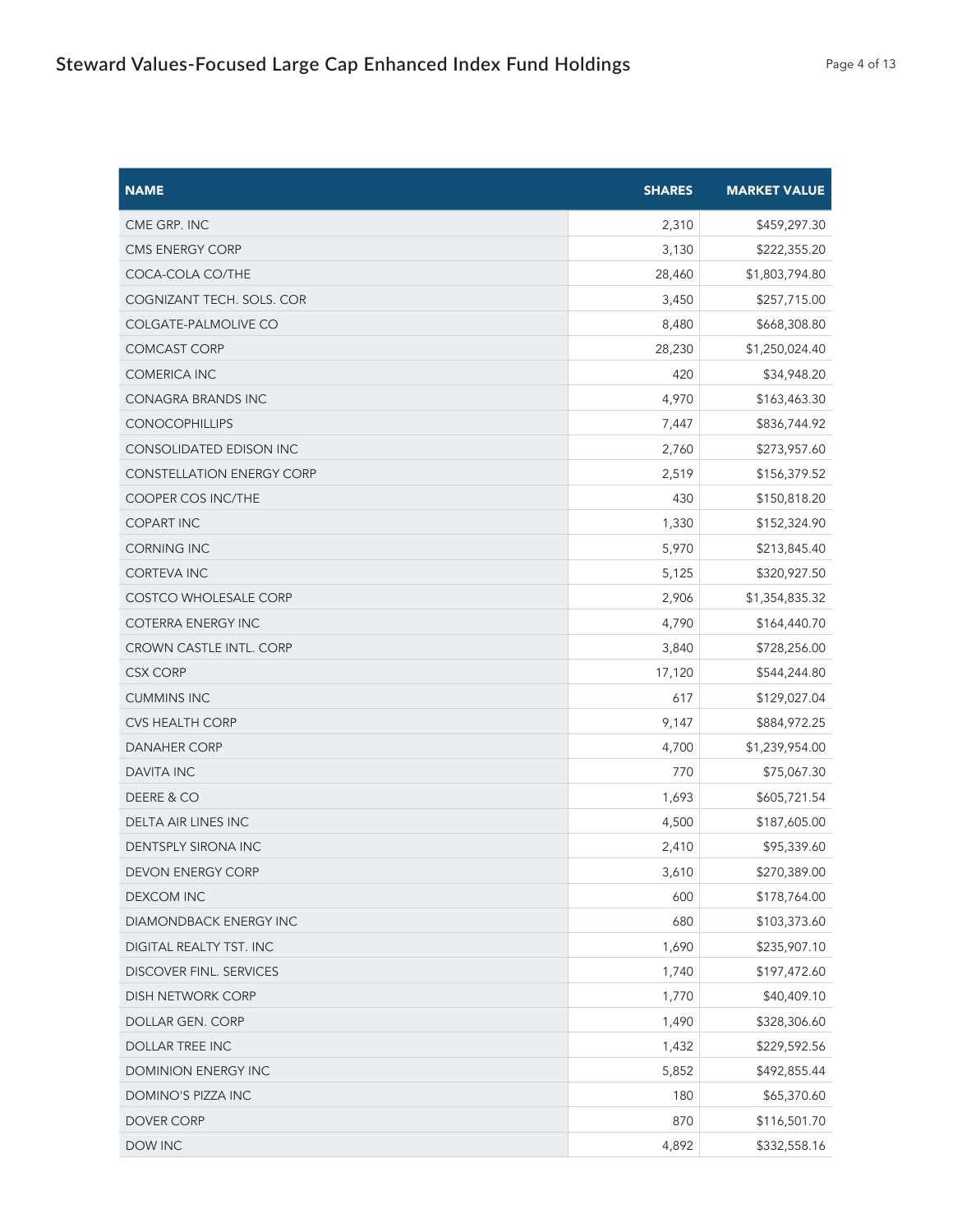| <b>NAME</b>                      | <b>SHARES</b> | <b>MARKET VALUE</b> |
|----------------------------------|---------------|---------------------|
| CME GRP. INC                     | 2,310         | \$459,297.30        |
| CMS ENERGY CORP                  | 3,130         | \$222,355.20        |
| COCA-COLA CO/THE                 | 28,460        | \$1,803,794.80      |
| COGNIZANT TECH. SOLS. COR        | 3,450         | \$257,715.00        |
| COLGATE-PALMOLIVE CO             | 8,480         | \$668,308.80        |
| <b>COMCAST CORP</b>              | 28,230        | \$1,250,024.40      |
| COMERICA INC                     | 420           | \$34,948.20         |
| <b>CONAGRA BRANDS INC</b>        | 4,970         | \$163,463.30        |
| <b>CONOCOPHILLIPS</b>            | 7,447         | \$836,744.92        |
| CONSOLIDATED EDISON INC          | 2,760         | \$273,957.60        |
| <b>CONSTELLATION ENERGY CORP</b> | 2,519         | \$156,379.52        |
| <b>COOPER COS INC/THE</b>        | 430           | \$150,818.20        |
| <b>COPART INC</b>                | 1,330         | \$152,324.90        |
| <b>CORNING INC</b>               | 5,970         | \$213,845.40        |
| <b>CORTEVA INC</b>               | 5,125         | \$320,927.50        |
| <b>COSTCO WHOLESALE CORP</b>     | 2,906         | \$1,354,835.32      |
| <b>COTERRA ENERGY INC</b>        | 4,790         | \$164,440.70        |
| <b>CROWN CASTLE INTL. CORP</b>   | 3,840         | \$728,256.00        |
| CSX CORP                         | 17,120        | \$544,244.80        |
| <b>CUMMINS INC</b>               | 617           | \$129,027.04        |
| <b>CVS HEALTH CORP</b>           | 9,147         | \$884,972.25        |
| <b>DANAHER CORP</b>              | 4,700         | \$1,239,954.00      |
| <b>DAVITA INC</b>                | 770           | \$75,067.30         |
| DEERE & CO                       | 1,693         | \$605,721.54        |
| DELTA AIR LINES INC              | 4,500         | \$187,605.00        |
| <b>DENTSPLY SIRONA INC</b>       | 2,410         | \$95,339.60         |
| DEVON ENERGY CORP                | 3,610         | \$270,389.00        |
| <b>DEXCOM INC</b>                | 600           | \$178,764.00        |
| DIAMONDBACK ENERGY INC           | 680           | \$103,373.60        |
| DIGITAL REALTY TST. INC          | 1,690         | \$235,907.10        |
| <b>DISCOVER FINL. SERVICES</b>   | 1,740         | \$197,472.60        |
| DISH NETWORK CORP                | 1,770         | \$40,409.10         |
| DOLLAR GEN. CORP                 | 1,490         | \$328,306.60        |
| <b>DOLLAR TREE INC</b>           | 1,432         | \$229,592.56        |
| DOMINION ENERGY INC              | 5,852         | \$492,855.44        |
| DOMINO'S PIZZA INC               | 180           | \$65,370.60         |
| DOVER CORP                       | 870           | \$116,501.70        |
| DOW INC                          | 4,892         | \$332,558.16        |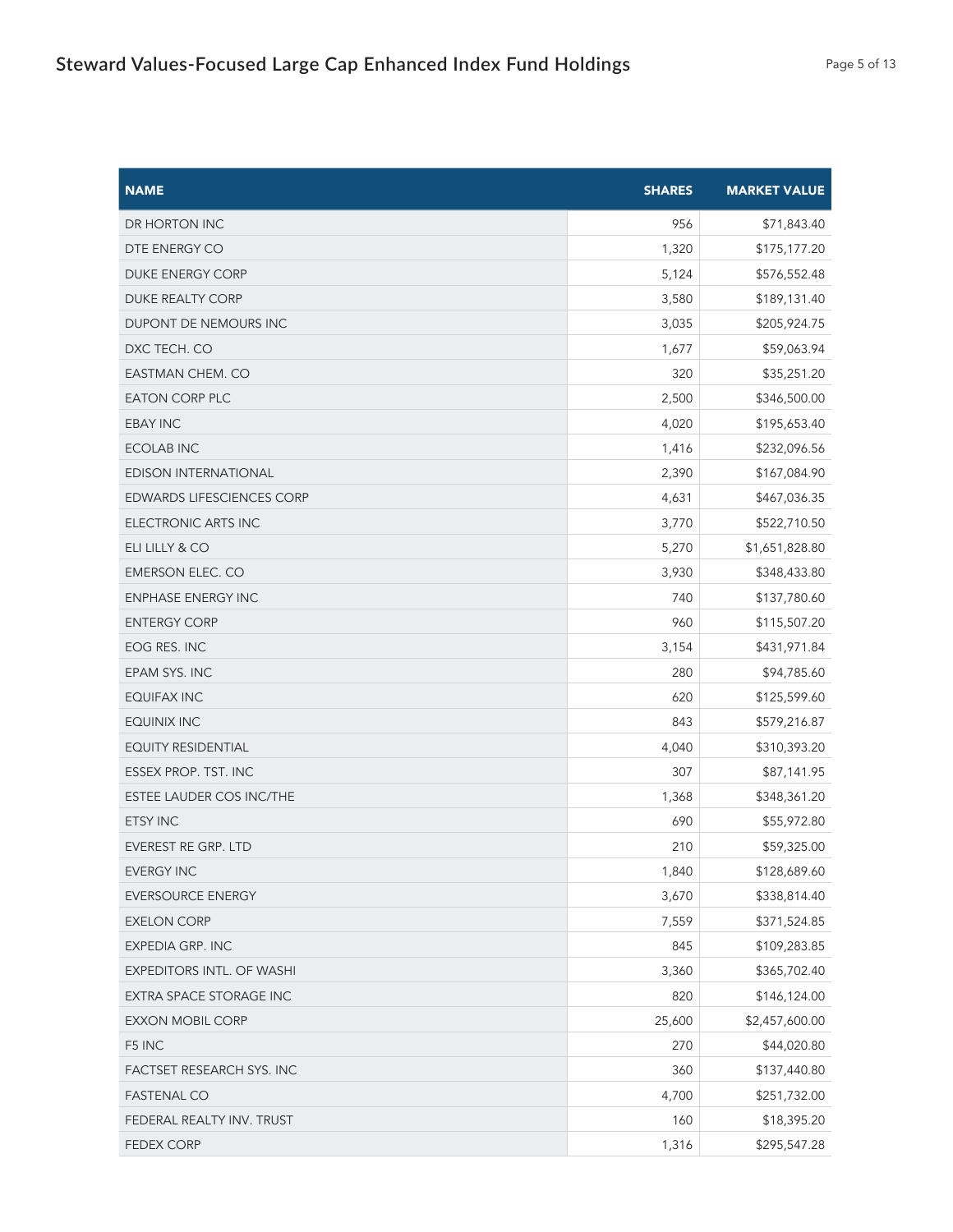| <b>NAME</b>                      | <b>SHARES</b> | <b>MARKET VALUE</b> |
|----------------------------------|---------------|---------------------|
| DR HORTON INC                    | 956           | \$71,843.40         |
| DTE ENERGY CO                    | 1,320         | \$175,177.20        |
| <b>DUKE ENERGY CORP</b>          | 5,124         | \$576,552.48        |
| DUKE REALTY CORP                 | 3,580         | \$189,131.40        |
| DUPONT DE NEMOURS INC            | 3,035         | \$205,924.75        |
| DXC TECH. CO                     | 1,677         | \$59,063.94         |
| EASTMAN CHEM. CO                 | 320           | \$35,251.20         |
| <b>EATON CORP PLC</b>            | 2,500         | \$346,500.00        |
| <b>EBAY INC</b>                  | 4,020         | \$195,653.40        |
| <b>ECOLAB INC</b>                | 1,416         | \$232,096.56        |
| <b>EDISON INTERNATIONAL</b>      | 2,390         | \$167,084.90        |
| <b>EDWARDS LIFESCIENCES CORP</b> | 4,631         | \$467,036.35        |
| ELECTRONIC ARTS INC              | 3,770         | \$522,710.50        |
| ELI LILLY & CO                   | 5,270         | \$1,651,828.80      |
| <b>EMERSON ELEC. CO</b>          | 3,930         | \$348,433.80        |
| <b>ENPHASE ENERGY INC</b>        | 740           | \$137,780.60        |
| <b>ENTERGY CORP</b>              | 960           | \$115,507.20        |
| EOG RES. INC                     | 3,154         | \$431,971.84        |
| EPAM SYS. INC                    | 280           | \$94,785.60         |
| <b>EQUIFAX INC</b>               | 620           | \$125,599.60        |
| <b>EQUINIX INC</b>               | 843           | \$579,216.87        |
| <b>EQUITY RESIDENTIAL</b>        | 4,040         | \$310,393.20        |
| ESSEX PROP. TST. INC             | 307           | \$87,141.95         |
| ESTEE LAUDER COS INC/THE         | 1,368         | \$348,361.20        |
| <b>ETSY INC</b>                  | 690           | \$55,972.80         |
| <b>EVEREST RE GRP. LTD</b>       | 210           | \$59,325.00         |
| <b>EVERGY INC</b>                | 1,840         | \$128,689.60        |
| <b>EVERSOURCE ENERGY</b>         | 3,670         | \$338,814.40        |
| <b>EXELON CORP</b>               | 7,559         | \$371,524.85        |
| EXPEDIA GRP. INC                 | 845           | \$109,283.85        |
| EXPEDITORS INTL. OF WASHI        | 3,360         | \$365,702.40        |
| EXTRA SPACE STORAGE INC          | 820           | \$146,124.00        |
| <b>EXXON MOBIL CORP</b>          | 25,600        | \$2,457,600.00      |
| F5 INC                           | 270           | \$44,020.80         |
| FACTSET RESEARCH SYS. INC        | 360           | \$137,440.80        |
| <b>FASTENAL CO</b>               | 4,700         | \$251,732.00        |
| FEDERAL REALTY INV. TRUST        | 160           | \$18,395.20         |
| <b>FEDEX CORP</b>                | 1,316         | \$295,547.28        |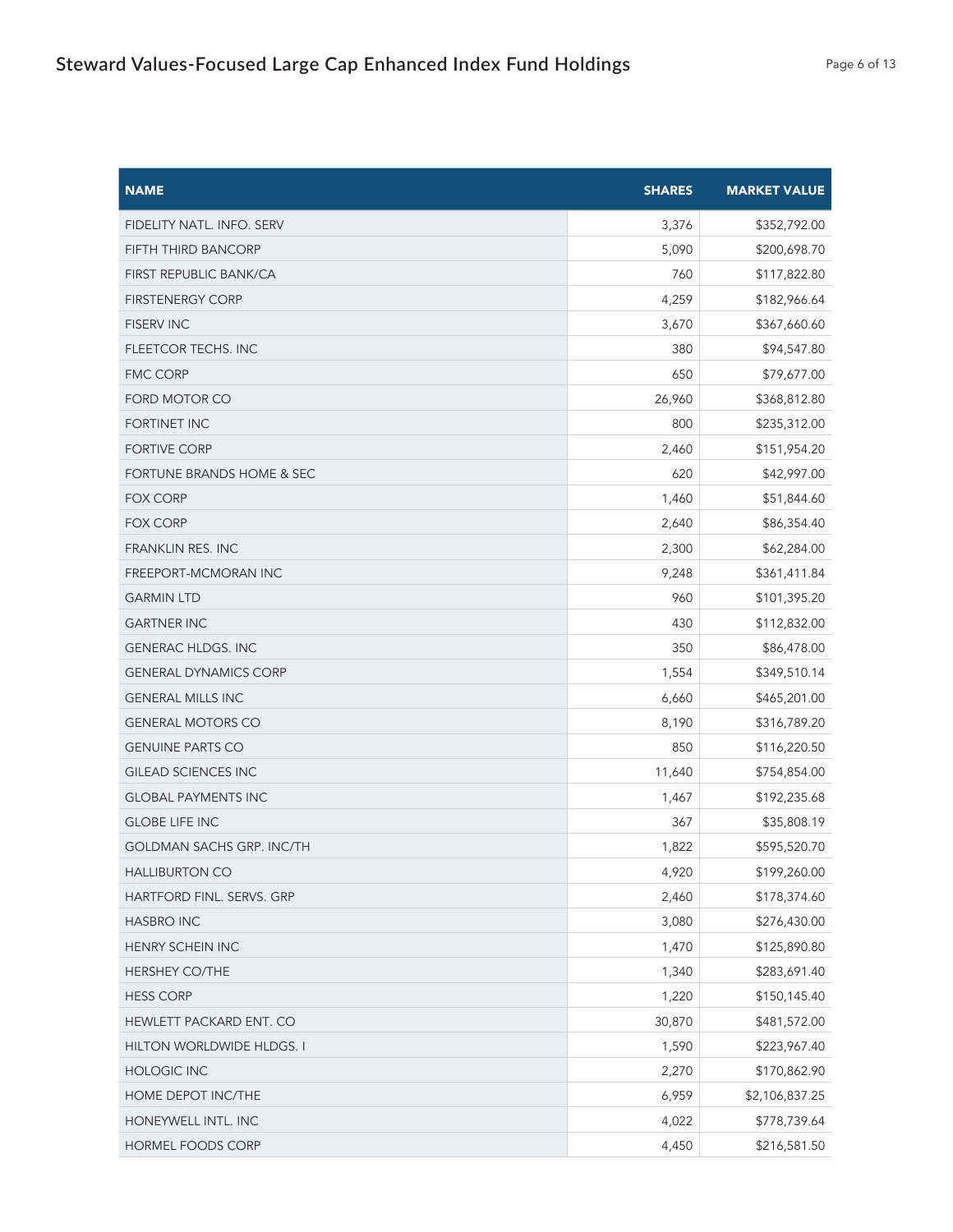| <b>NAME</b>                          | <b>SHARES</b> | <b>MARKET VALUE</b> |
|--------------------------------------|---------------|---------------------|
| FIDELITY NATL. INFO. SERV            | 3,376         | \$352,792.00        |
| FIFTH THIRD BANCORP                  | 5,090         | \$200,698.70        |
| FIRST REPUBLIC BANK/CA               | 760           | \$117,822.80        |
| <b>FIRSTENERGY CORP</b>              | 4,259         | \$182,966.64        |
| <b>FISERV INC</b>                    | 3,670         | \$367,660.60        |
| <b>FLEETCOR TECHS. INC</b>           | 380           | \$94,547.80         |
| <b>FMC CORP</b>                      | 650           | \$79,677.00         |
| FORD MOTOR CO                        | 26,960        | \$368,812.80        |
| <b>FORTINET INC</b>                  | 800           | \$235,312.00        |
| <b>FORTIVE CORP</b>                  | 2,460         | \$151,954.20        |
| <b>FORTUNE BRANDS HOME &amp; SEC</b> | 620           | \$42,997.00         |
| <b>FOX CORP</b>                      | 1,460         | \$51,844.60         |
| <b>FOX CORP</b>                      | 2,640         | \$86,354.40         |
| <b>FRANKLIN RES. INC</b>             | 2,300         | \$62,284.00         |
| <b>FREEPORT-MCMORAN INC</b>          | 9,248         | \$361,411.84        |
| <b>GARMIN LTD</b>                    | 960           | \$101,395.20        |
| <b>GARTNER INC</b>                   | 430           | \$112,832.00        |
| <b>GENERAC HLDGS. INC</b>            | 350           | \$86,478.00         |
| <b>GENERAL DYNAMICS CORP</b>         | 1,554         | \$349,510.14        |
| <b>GENERAL MILLS INC</b>             | 6,660         | \$465,201.00        |
| <b>GENERAL MOTORS CO</b>             | 8,190         | \$316,789.20        |
| <b>GENUINE PARTS CO</b>              | 850           | \$116,220.50        |
| <b>GILEAD SCIENCES INC</b>           | 11,640        | \$754,854.00        |
| <b>GLOBAL PAYMENTS INC</b>           | 1,467         | \$192,235.68        |
| <b>GLOBE LIFE INC</b>                | 367           | \$35,808.19         |
| <b>GOLDMAN SACHS GRP. INC/TH</b>     | 1,822         | \$595,520.70        |
| <b>HALLIBURTON CO</b>                | 4,920         | \$199,260.00        |
| HARTFORD FINL. SERVS. GRP            | 2,460         | \$178,374.60        |
| <b>HASBRO INC</b>                    | 3,080         | \$276,430.00        |
| HENRY SCHEIN INC                     | 1,470         | \$125,890.80        |
| <b>HERSHEY CO/THE</b>                | 1,340         | \$283,691.40        |
| <b>HESS CORP</b>                     | 1,220         | \$150,145.40        |
| HEWLETT PACKARD ENT. CO              | 30,870        | \$481,572.00        |
| HILTON WORLDWIDE HLDGS. I            | 1,590         | \$223,967.40        |
| <b>HOLOGIC INC</b>                   | 2,270         | \$170,862.90        |
| HOME DEPOT INC/THE                   | 6,959         | \$2,106,837.25      |
| HONEYWELL INTL. INC                  | 4,022         | \$778,739.64        |
| HORMEL FOODS CORP                    | 4,450         | \$216,581.50        |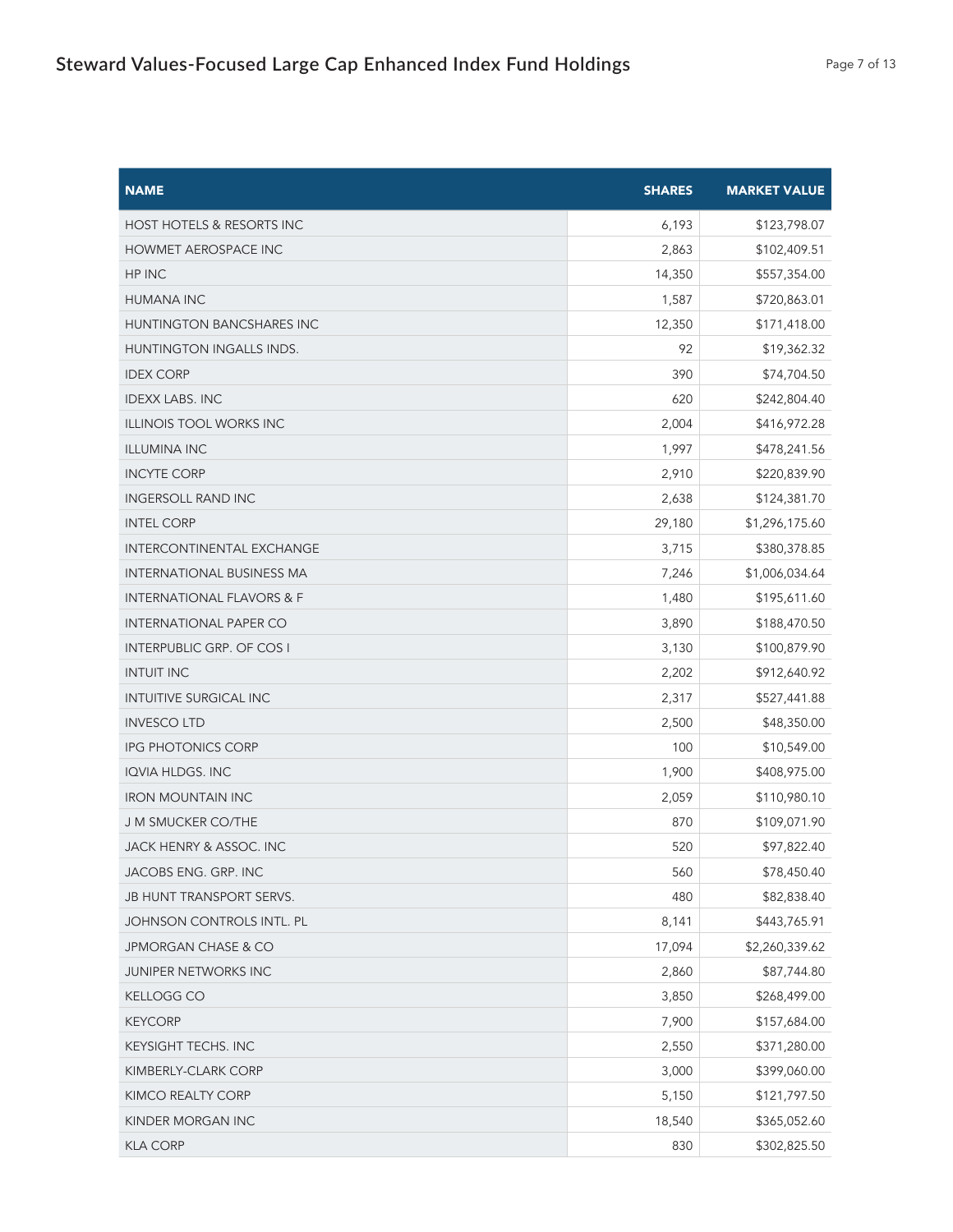| <b>NAME</b>                          | <b>SHARES</b> | <b>MARKET VALUE</b> |
|--------------------------------------|---------------|---------------------|
| HOST HOTELS & RESORTS INC            | 6,193         | \$123,798.07        |
| <b>HOWMET AEROSPACE INC</b>          | 2,863         | \$102,409.51        |
| HP INC                               | 14,350        | \$557,354.00        |
| <b>HUMANA INC</b>                    | 1,587         | \$720,863.01        |
| HUNTINGTON BANCSHARES INC            | 12,350        | \$171,418.00        |
| HUNTINGTON INGALLS INDS.             | 92            | \$19,362.32         |
| <b>IDEX CORP</b>                     | 390           | \$74,704.50         |
| <b>IDEXX LABS. INC</b>               | 620           | \$242,804.40        |
| <b>ILLINOIS TOOL WORKS INC</b>       | 2,004         | \$416,972.28        |
| <b>ILLUMINA INC</b>                  | 1,997         | \$478,241.56        |
| <b>INCYTE CORP</b>                   | 2,910         | \$220,839.90        |
| <b>INGERSOLL RAND INC</b>            | 2,638         | \$124,381.70        |
| <b>INTEL CORP</b>                    | 29,180        | \$1,296,175.60      |
| INTERCONTINENTAL EXCHANGE            | 3,715         | \$380,378.85        |
| INTERNATIONAL BUSINESS MA            | 7,246         | \$1,006,034.64      |
| <b>INTERNATIONAL FLAVORS &amp; F</b> | 1,480         | \$195,611.60        |
| <b>INTERNATIONAL PAPER CO</b>        | 3,890         | \$188,470.50        |
| <b>INTERPUBLIC GRP. OF COS I</b>     | 3,130         | \$100,879.90        |
| <b>INTUIT INC</b>                    | 2,202         | \$912,640.92        |
| <b>INTUITIVE SURGICAL INC</b>        | 2,317         | \$527,441.88        |
| <b>INVESCO LTD</b>                   | 2,500         | \$48,350.00         |
| <b>IPG PHOTONICS CORP</b>            | 100           | \$10,549.00         |
| IQVIA HLDGS. INC                     | 1,900         | \$408,975.00        |
| <b>IRON MOUNTAIN INC</b>             | 2,059         | \$110,980.10        |
| J M SMUCKER CO/THE                   | 870           | \$109,071.90        |
| JACK HENRY & ASSOC. INC              | 520           | \$97,822.40         |
| JACOBS ENG. GRP. INC                 | 560           | \$78,450.40         |
| JB HUNT TRANSPORT SERVS.             | 480           | \$82,838.40         |
| JOHNSON CONTROLS INTL. PL            | 8,141         | \$443,765.91        |
| JPMORGAN CHASE & CO                  | 17,094        | \$2,260,339.62      |
| <b>JUNIPER NETWORKS INC</b>          | 2,860         | \$87,744.80         |
| KELLOGG CO                           | 3,850         | \$268,499.00        |
| <b>KEYCORP</b>                       | 7,900         | \$157,684.00        |
| KEYSIGHT TECHS. INC                  | 2,550         | \$371,280.00        |
| KIMBERLY-CLARK CORP                  | 3,000         | \$399,060.00        |
| KIMCO REALTY CORP                    | 5,150         | \$121,797.50        |
| KINDER MORGAN INC                    | 18,540        | \$365,052.60        |
| <b>KLA CORP</b>                      | 830           | \$302,825.50        |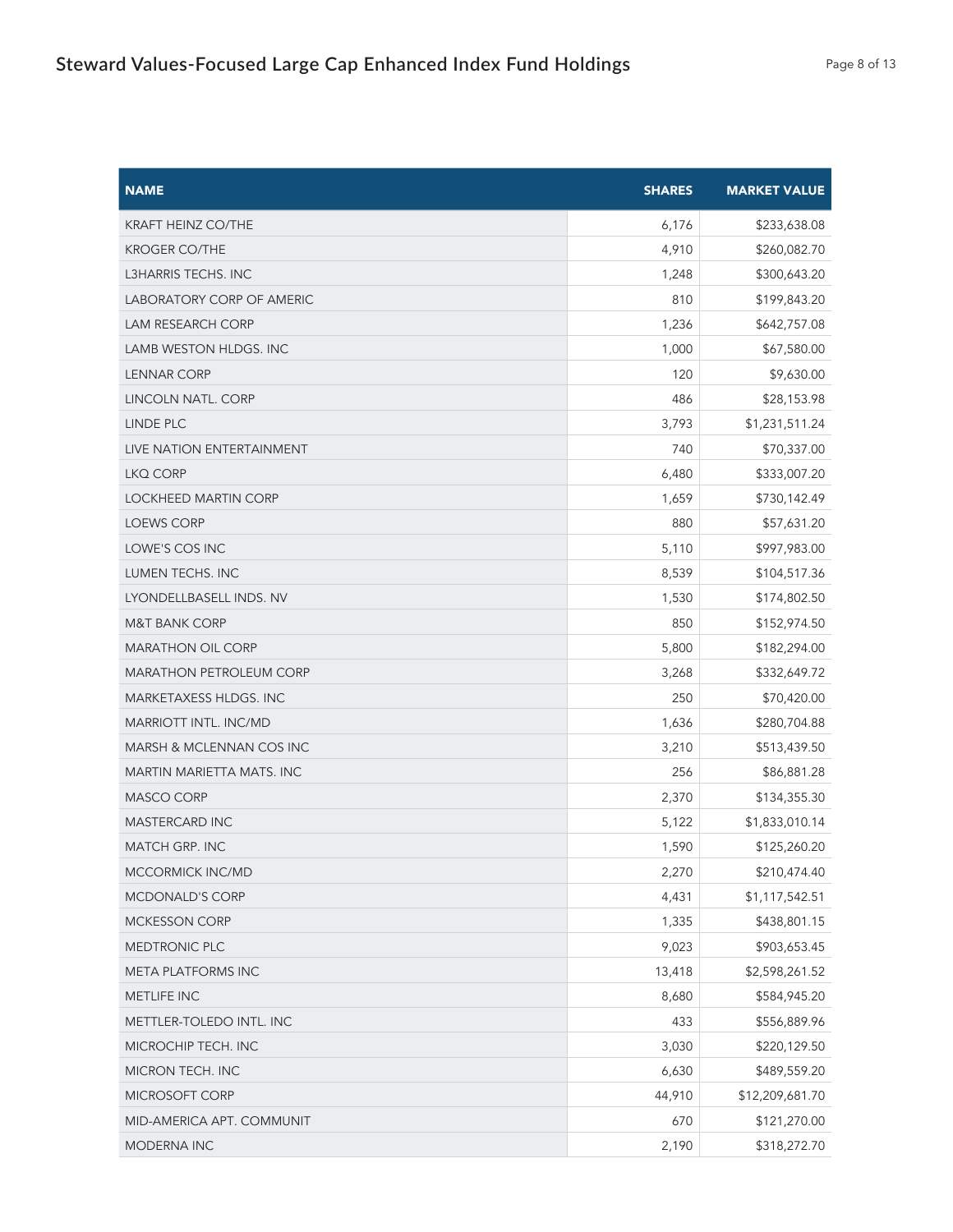| <b>NAME</b>                      | <b>SHARES</b> | <b>MARKET VALUE</b> |
|----------------------------------|---------------|---------------------|
| <b>KRAFT HEINZ CO/THE</b>        | 6,176         | \$233,638.08        |
| <b>KROGER CO/THE</b>             | 4,910         | \$260,082.70        |
| L3HARRIS TECHS. INC              | 1,248         | \$300,643.20        |
| <b>LABORATORY CORP OF AMERIC</b> | 810           | \$199,843.20        |
| LAM RESEARCH CORP                | 1,236         | \$642,757.08        |
| LAMB WESTON HLDGS. INC           | 1,000         | \$67,580.00         |
| <b>LENNAR CORP</b>               | 120           | \$9,630.00          |
| LINCOLN NATL. CORP               | 486           | \$28,153.98         |
| LINDE PLC                        | 3,793         | \$1,231,511.24      |
| LIVE NATION ENTERTAINMENT        | 740           | \$70,337.00         |
| LKQ CORP                         | 6,480         | \$333,007.20        |
| <b>LOCKHEED MARTIN CORP</b>      | 1,659         | \$730,142.49        |
| <b>LOEWS CORP</b>                | 880           | \$57,631.20         |
| LOWE'S COS INC                   | 5,110         | \$997,983.00        |
| LUMEN TECHS. INC                 | 8,539         | \$104,517.36        |
| LYONDELLBASELL INDS. NV          | 1,530         | \$174,802.50        |
| <b>M&amp;T BANK CORP</b>         | 850           | \$152,974.50        |
| <b>MARATHON OIL CORP</b>         | 5,800         | \$182,294.00        |
| <b>MARATHON PETROLEUM CORP</b>   | 3,268         | \$332,649.72        |
| MARKETAXESS HLDGS. INC           | 250           | \$70,420.00         |
| MARRIOTT INTL. INC/MD            | 1,636         | \$280,704.88        |
| MARSH & MCLENNAN COS INC         | 3,210         | \$513,439.50        |
| MARTIN MARIETTA MATS. INC        | 256           | \$86,881.28         |
| <b>MASCO CORP</b>                | 2,370         | \$134,355.30        |
| MASTERCARD INC                   | 5,122         | \$1,833,010.14      |
| MATCH GRP. INC                   | 1,590         | \$125,260.20        |
| MCCORMICK INC/MD                 | 2,270         | \$210,474.40        |
| MCDONALD'S CORP                  | 4,431         | \$1,117,542.51      |
| <b>MCKESSON CORP</b>             | 1,335         | \$438,801.15        |
| MEDTRONIC PLC                    | 9,023         | \$903,653.45        |
| META PLATFORMS INC               | 13,418        | \$2,598,261.52      |
| METLIFE INC                      | 8,680         | \$584,945.20        |
| METTLER-TOLEDO INTL. INC         | 433           | \$556,889.96        |
| MICROCHIP TECH. INC              | 3,030         | \$220,129.50        |
| MICRON TECH. INC                 | 6,630         | \$489,559.20        |
| MICROSOFT CORP                   | 44,910        | \$12,209,681.70     |
| MID-AMERICA APT. COMMUNIT        | 670           | \$121,270.00        |
| MODERNA INC                      | 2,190         | \$318,272.70        |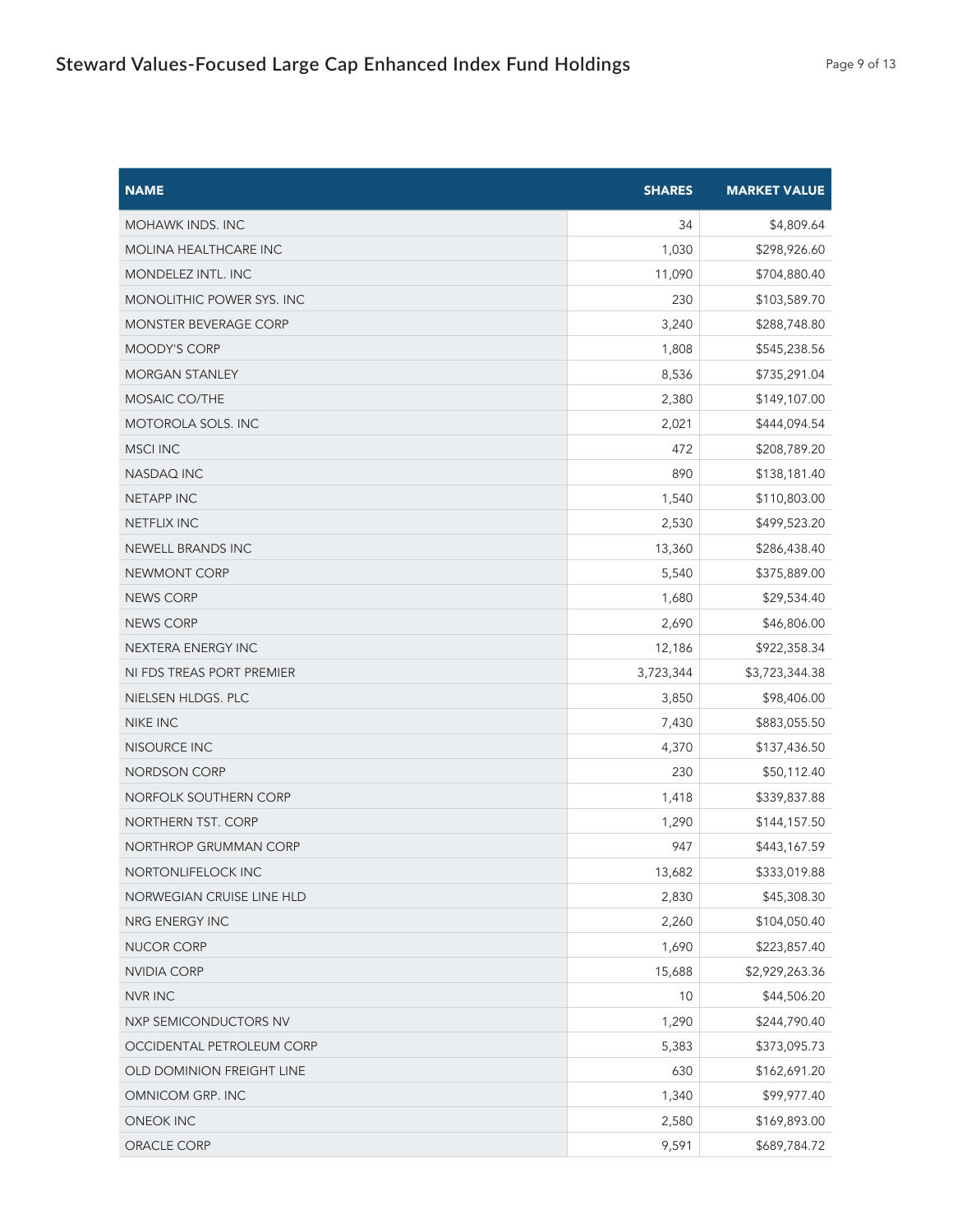| <b>NAME</b>                  | <b>SHARES</b> | <b>MARKET VALUE</b> |
|------------------------------|---------------|---------------------|
| <b>MOHAWK INDS. INC</b>      | 34            | \$4,809.64          |
| <b>MOLINA HEALTHCARE INC</b> | 1,030         | \$298,926.60        |
| <b>MONDELEZ INTL. INC</b>    | 11,090        | \$704,880.40        |
| MONOLITHIC POWER SYS. INC    | 230           | \$103,589.70        |
| <b>MONSTER BEVERAGE CORP</b> | 3,240         | \$288,748.80        |
| MOODY'S CORP                 | 1,808         | \$545,238.56        |
| <b>MORGAN STANLEY</b>        | 8,536         | \$735,291.04        |
| MOSAIC CO/THE                | 2,380         | \$149,107.00        |
| MOTOROLA SOLS. INC           | 2,021         | \$444,094.54        |
| MSCI INC                     | 472           | \$208,789.20        |
| <b>NASDAQ INC</b>            | 890           | \$138,181.40        |
| <b>NETAPP INC</b>            | 1,540         | \$110,803.00        |
| <b>NETFLIX INC</b>           | 2,530         | \$499,523.20        |
| NEWELL BRANDS INC            | 13,360        | \$286,438.40        |
| <b>NEWMONT CORP</b>          | 5,540         | \$375,889.00        |
| <b>NEWS CORP</b>             | 1,680         | \$29,534.40         |
| <b>NEWS CORP</b>             | 2,690         | \$46,806.00         |
| NEXTERA ENERGY INC           | 12,186        | \$922,358.34        |
| NI FDS TREAS PORT PREMIER    | 3,723,344     | \$3,723,344.38      |
| NIELSEN HLDGS. PLC           | 3,850         | \$98,406.00         |
| NIKE INC                     | 7,430         | \$883,055.50        |
| NISOURCE INC                 | 4,370         | \$137,436.50        |
| <b>NORDSON CORP</b>          | 230           | \$50,112.40         |
| NORFOLK SOUTHERN CORP        | 1,418         | \$339,837.88        |
| NORTHERN TST. CORP           | 1,290         | \$144,157.50        |
| NORTHROP GRUMMAN CORP        | 947           | \$443,167.59        |
| NORTONLIFELOCK INC           | 13,682        | \$333,019.88        |
| NORWEGIAN CRUISE LINE HLD    | 2,830         | \$45,308.30         |
| NRG ENERGY INC               | 2,260         | \$104,050.40        |
| NUCOR CORP                   | 1,690         | \$223,857.40        |
| NVIDIA CORP                  | 15,688        | \$2,929,263.36      |
| <b>NVR INC</b>               | 10            | \$44,506.20         |
| NXP SEMICONDUCTORS NV        | 1,290         | \$244,790.40        |
| OCCIDENTAL PETROLEUM CORP    | 5,383         | \$373,095.73        |
| OLD DOMINION FREIGHT LINE    | 630           | \$162,691.20        |
| OMNICOM GRP. INC             | 1,340         | \$99,977.40         |
| <b>ONEOK INC</b>             | 2,580         | \$169,893.00        |
| ORACLE CORP                  | 9,591         | \$689,784.72        |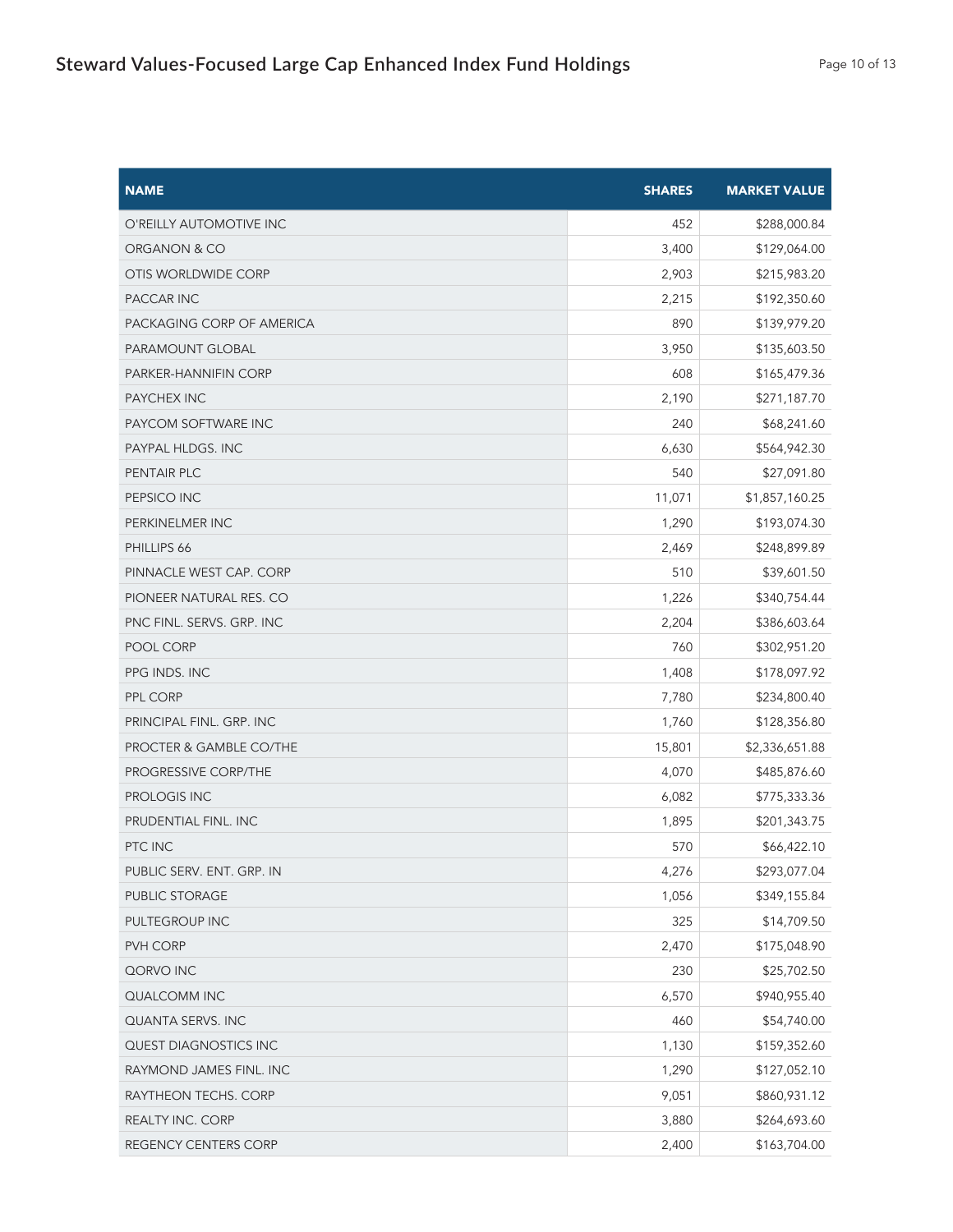| <b>NAME</b>               | <b>SHARES</b> | <b>MARKET VALUE</b> |
|---------------------------|---------------|---------------------|
| O'REILLY AUTOMOTIVE INC   | 452           | \$288,000.84        |
| ORGANON & CO              | 3,400         | \$129,064.00        |
| OTIS WORLDWIDE CORP       | 2,903         | \$215,983.20        |
| PACCAR INC                | 2,215         | \$192,350.60        |
| PACKAGING CORP OF AMERICA | 890           | \$139,979.20        |
| PARAMOUNT GLOBAL          | 3,950         | \$135,603.50        |
| PARKER-HANNIFIN CORP      | 608           | \$165,479.36        |
| PAYCHEX INC               | 2,190         | \$271,187.70        |
| PAYCOM SOFTWARE INC       | 240           | \$68,241.60         |
| PAYPAL HLDGS. INC         | 6,630         | \$564,942.30        |
| PENTAIR PLC               | 540           | \$27,091.80         |
| PEPSICO INC               | 11,071        | \$1,857,160.25      |
| PERKINELMER INC           | 1,290         | \$193,074.30        |
| PHILLIPS 66               | 2,469         | \$248,899.89        |
| PINNACLE WEST CAP. CORP   | 510           | \$39,601.50         |
| PIONEER NATURAL RES. CO   | 1,226         | \$340,754.44        |
| PNC FINL. SERVS. GRP. INC | 2,204         | \$386,603.64        |
| POOL CORP                 | 760           | \$302,951.20        |
| PPG INDS. INC             | 1,408         | \$178,097.92        |
| PPL CORP                  | 7,780         | \$234,800.40        |
| PRINCIPAL FINL. GRP. INC  | 1,760         | \$128,356.80        |
| PROCTER & GAMBLE CO/THE   | 15,801        | \$2,336,651.88      |
| PROGRESSIVE CORP/THE      | 4,070         | \$485,876.60        |
| PROLOGIS INC              | 6,082         | \$775,333.36        |
| PRUDENTIAL FINL. INC      | 1,895         | \$201,343.75        |
| PTC INC                   | 570           | \$66,422.10         |
| PUBLIC SERV. ENT. GRP. IN | 4,276         | \$293,077.04        |
| PUBLIC STORAGE            | 1,056         | \$349,155.84        |
| PULTEGROUP INC            | 325           | \$14,709.50         |
| PVH CORP                  | 2,470         | \$175,048.90        |
| QORVO INC                 | 230           | \$25,702.50         |
| QUALCOMM INC              | 6,570         | \$940,955.40        |
| QUANTA SERVS. INC         | 460           | \$54,740.00         |
| QUEST DIAGNOSTICS INC     | 1,130         | \$159,352.60        |
| RAYMOND JAMES FINL. INC   | 1,290         | \$127,052.10        |
| RAYTHEON TECHS. CORP      | 9,051         | \$860,931.12        |
| REALTY INC. CORP          | 3,880         | \$264,693.60        |
| REGENCY CENTERS CORP      | 2,400         | \$163,704.00        |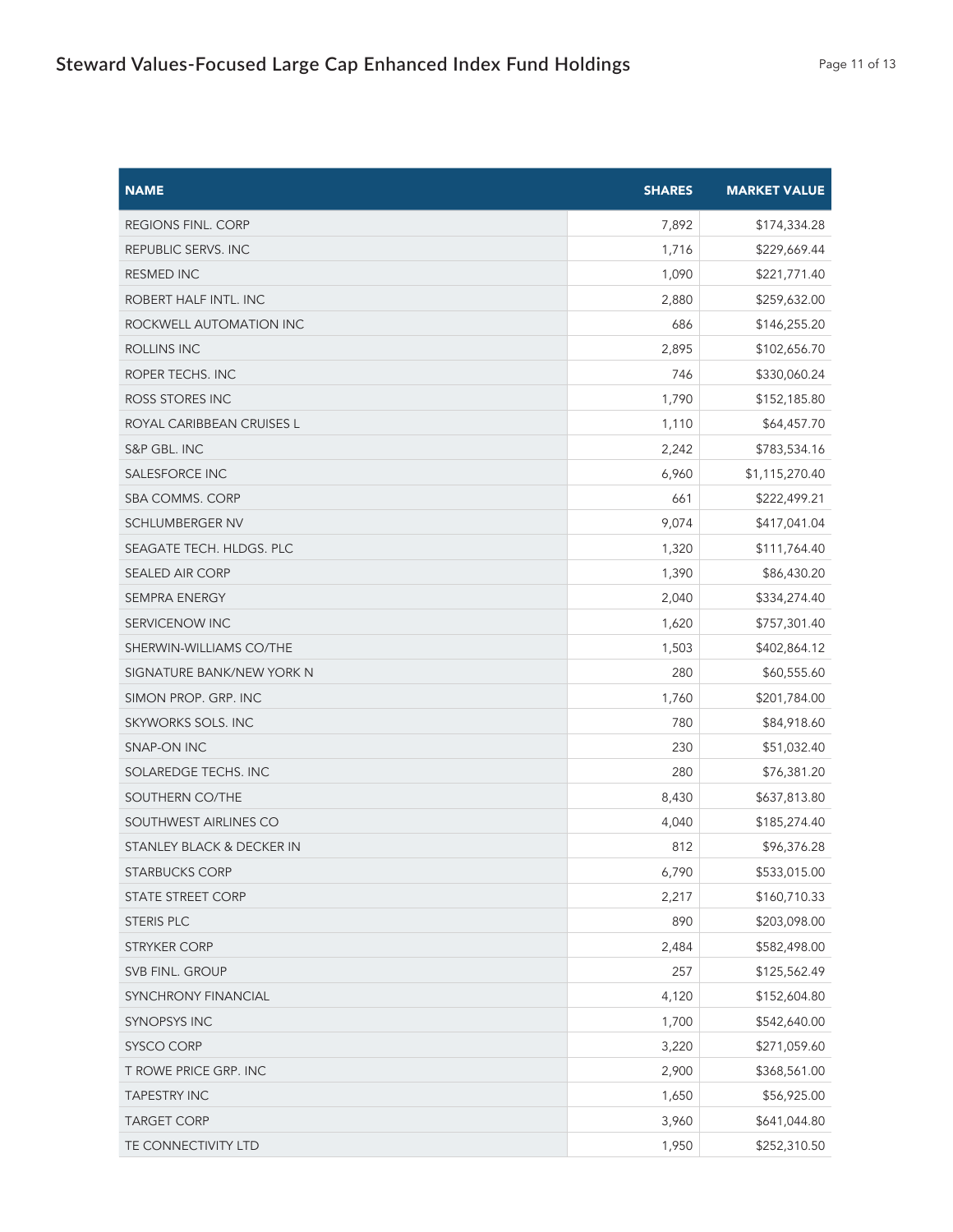| <b>NAME</b>                | <b>SHARES</b> | <b>MARKET VALUE</b> |
|----------------------------|---------------|---------------------|
| REGIONS FINL. CORP         | 7,892         | \$174,334.28        |
| REPUBLIC SERVS. INC        | 1,716         | \$229,669.44        |
| <b>RESMED INC</b>          | 1,090         | \$221,771.40        |
| ROBERT HALF INTL. INC      | 2,880         | \$259,632.00        |
| ROCKWELL AUTOMATION INC    | 686           | \$146,255.20        |
| ROLLINS INC                | 2,895         | \$102,656.70        |
| ROPER TECHS. INC           | 746           | \$330,060.24        |
| ROSS STORES INC            | 1,790         | \$152,185.80        |
| ROYAL CARIBBEAN CRUISES L  | 1,110         | \$64,457.70         |
| S&P GBL. INC               | 2,242         | \$783,534.16        |
| SALESFORCE INC             | 6,960         | \$1,115,270.40      |
| <b>SBA COMMS. CORP</b>     | 661           | \$222,499.21        |
| <b>SCHLUMBERGER NV</b>     | 9,074         | \$417,041.04        |
| SEAGATE TECH. HLDGS. PLC   | 1,320         | \$111,764.40        |
| <b>SEALED AIR CORP</b>     | 1,390         | \$86,430.20         |
| <b>SEMPRA ENERGY</b>       | 2,040         | \$334,274.40        |
| SERVICENOW INC             | 1,620         | \$757,301.40        |
| SHERWIN-WILLIAMS CO/THE    | 1,503         | \$402,864.12        |
| SIGNATURE BANK/NEW YORK N  | 280           | \$60,555.60         |
| SIMON PROP. GRP. INC       | 1,760         | \$201,784.00        |
| SKYWORKS SOLS. INC         | 780           | \$84,918.60         |
| SNAP-ON INC                | 230           | \$51,032.40         |
| SOLAREDGE TECHS. INC       | 280           | \$76,381.20         |
| SOUTHERN CO/THE            | 8,430         | \$637,813.80        |
| SOUTHWEST AIRLINES CO      | 4,040         | \$185,274.40        |
| STANLEY BLACK & DECKER IN  | 812           | \$96,376.28         |
| STARBUCKS CORP             | 6,790         | \$533,015.00        |
| <b>STATE STREET CORP</b>   | 2,217         | \$160,710.33        |
| <b>STERIS PLC</b>          | 890           | \$203,098.00        |
| <b>STRYKER CORP</b>        | 2,484         | \$582,498.00        |
| SVB FINL. GROUP            | 257           | \$125,562.49        |
| <b>SYNCHRONY FINANCIAL</b> | 4,120         | \$152,604.80        |
| <b>SYNOPSYS INC</b>        | 1,700         | \$542,640.00        |
| SYSCO CORP                 | 3,220         | \$271,059.60        |
| T ROWE PRICE GRP. INC      | 2,900         | \$368,561.00        |
| <b>TAPESTRY INC</b>        | 1,650         | \$56,925.00         |
| <b>TARGET CORP</b>         | 3,960         | \$641,044.80        |
| TE CONNECTIVITY LTD        | 1,950         | \$252,310.50        |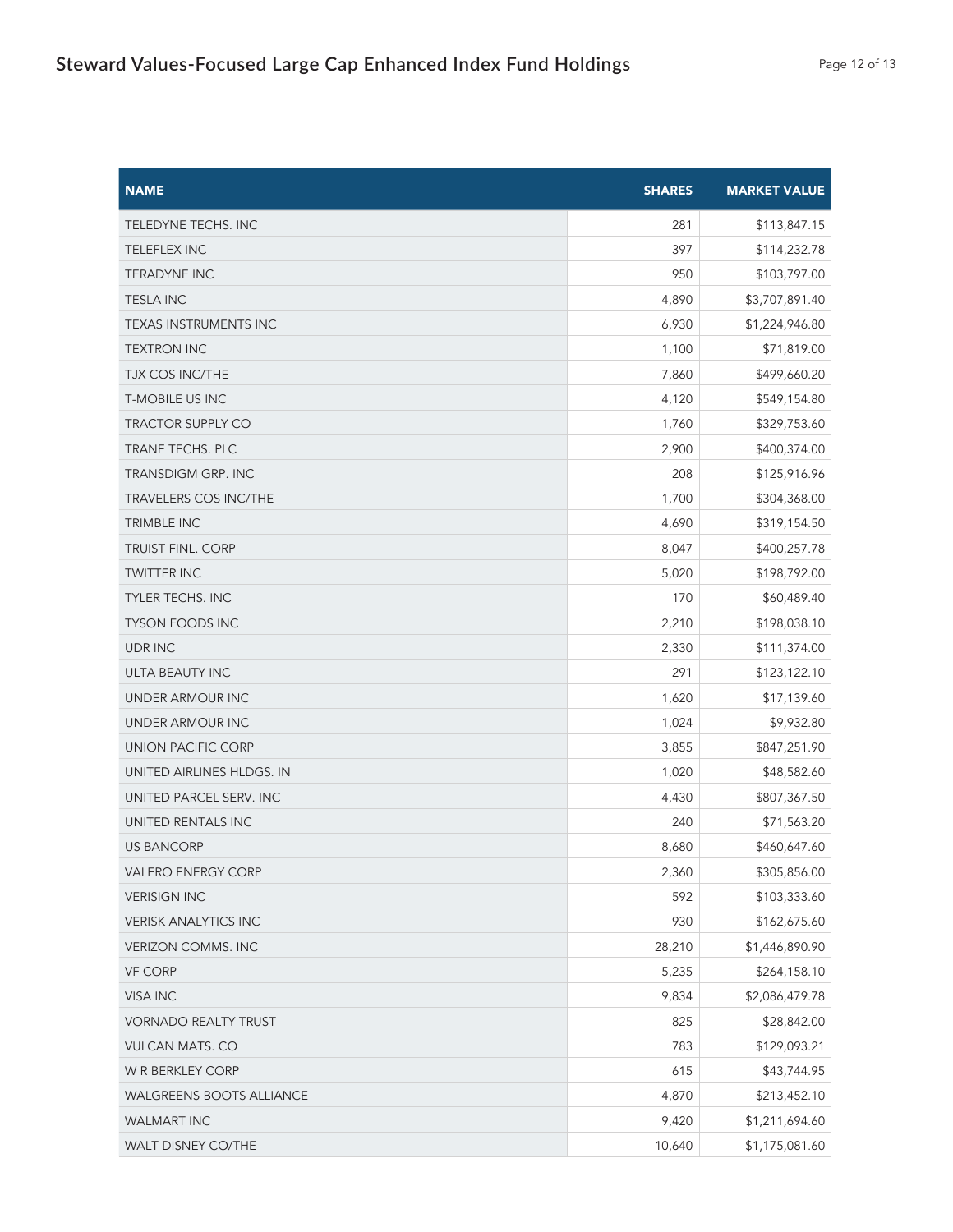| <b>NAME</b>                     | <b>SHARES</b> | <b>MARKET VALUE</b> |
|---------------------------------|---------------|---------------------|
| TELEDYNE TECHS. INC             | 281           | \$113,847.15        |
| <b>TELEFLEX INC</b>             | 397           | \$114,232.78        |
| <b>TERADYNE INC</b>             | 950           | \$103,797.00        |
| <b>TESLA INC</b>                | 4,890         | \$3,707,891.40      |
| <b>TEXAS INSTRUMENTS INC</b>    | 6,930         | \$1,224,946.80      |
| <b>TEXTRON INC</b>              | 1,100         | \$71,819.00         |
| <b>TJX COS INC/THE</b>          | 7,860         | \$499,660.20        |
| <b>T-MOBILE US INC</b>          | 4,120         | \$549,154.80        |
| <b>TRACTOR SUPPLY CO</b>        | 1,760         | \$329,753.60        |
| TRANE TECHS. PLC                | 2,900         | \$400,374.00        |
| <b>TRANSDIGM GRP. INC</b>       | 208           | \$125,916.96        |
| <b>TRAVELERS COS INC/THE</b>    | 1,700         | \$304,368.00        |
| TRIMBLE INC                     | 4,690         | \$319,154.50        |
| <b>TRUIST FINL. CORP</b>        | 8,047         | \$400,257.78        |
| <b>TWITTER INC</b>              | 5,020         | \$198,792.00        |
| <b>TYLER TECHS. INC</b>         | 170           | \$60,489.40         |
| <b>TYSON FOODS INC</b>          | 2,210         | \$198,038.10        |
| <b>UDRINC</b>                   | 2,330         | \$111,374.00        |
| ULTA BEAUTY INC                 | 291           | \$123,122.10        |
| UNDER ARMOUR INC                | 1,620         | \$17,139.60         |
| UNDER ARMOUR INC                | 1,024         | \$9,932.80          |
| UNION PACIFIC CORP              | 3,855         | \$847,251.90        |
| UNITED AIRLINES HLDGS. IN       | 1,020         | \$48,582.60         |
| UNITED PARCEL SERV. INC         | 4,430         | \$807,367.50        |
| UNITED RENTALS INC              | 240           | \$71,563.20         |
| <b>US BANCORP</b>               | 8,680         | \$460,647.60        |
| <b>VALERO ENERGY CORP</b>       | 2,360         | \$305,856.00        |
| <b>VERISIGN INC</b>             | 592           | \$103,333.60        |
| <b>VERISK ANALYTICS INC</b>     | 930           | \$162,675.60        |
| <b>VERIZON COMMS. INC</b>       | 28,210        | \$1,446,890.90      |
| <b>VF CORP</b>                  | 5,235         | \$264,158.10        |
| <b>VISA INC</b>                 | 9,834         | \$2,086,479.78      |
| <b>VORNADO REALTY TRUST</b>     | 825           | \$28,842.00         |
| <b>VULCAN MATS. CO</b>          | 783           | \$129,093.21        |
| W R BERKLEY CORP                | 615           | \$43,744.95         |
| <b>WALGREENS BOOTS ALLIANCE</b> | 4,870         | \$213,452.10        |
| <b>WALMART INC</b>              | 9,420         | \$1,211,694.60      |
| WALT DISNEY CO/THE              | 10,640        | \$1,175,081.60      |